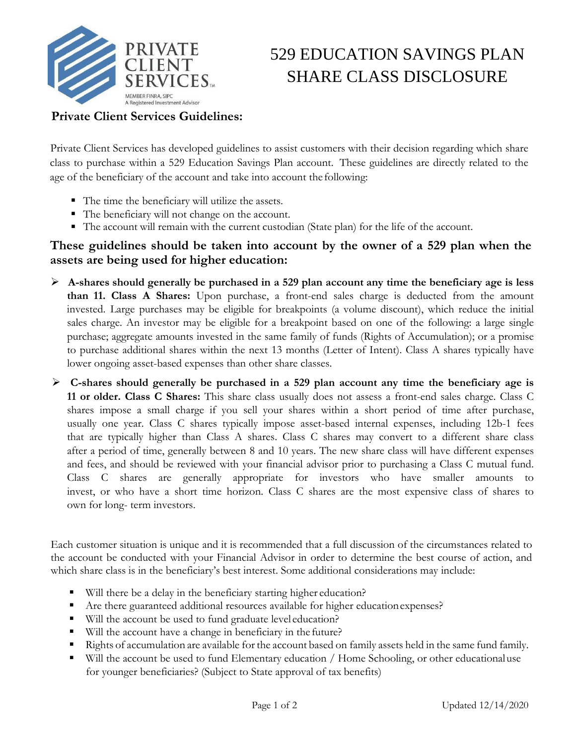

## 529 EDUCATION SAVINGS PLAN SHARE CLASS DISCLOSURE

## **Private Client Services Guidelines:**

Private Client Services has developed guidelines to assist customers with their decision regarding which share class to purchase within a 529 Education Savings Plan account. These guidelines are directly related to the age of the beneficiary of the account and take into account the following:

- The time the beneficiary will utilize the assets.
- The beneficiary will not change on the account.
- The account will remain with the current custodian (State plan) for the life of the account.

## **These guidelines should be taken into account by the owner of a 529 plan when the assets are being used for higher education:**

- ➢ **A-shares should generally be purchased in a 529 plan account any time the beneficiary age is less than 11. Class A Shares:** Upon purchase, a front-end sales charge is deducted from the amount invested. Large purchases may be eligible for breakpoints (a volume discount), which reduce the initial sales charge. An investor may be eligible for a breakpoint based on one of the following: a large single purchase; aggregate amounts invested in the same family of funds (Rights of Accumulation); or a promise to purchase additional shares within the next 13 months (Letter of Intent). Class A shares typically have lower ongoing asset-based expenses than other share classes.
- ➢ **C-shares should generally be purchased in a 529 plan account any time the beneficiary age is 11 or older. Class C Shares:** This share class usually does not assess a front-end sales charge. Class C shares impose a small charge if you sell your shares within a short period of time after purchase, usually one year. Class C shares typically impose asset-based internal expenses, including 12b-1 fees that are typically higher than Class A shares. Class C shares may convert to a different share class after a period of time, generally between 8 and 10 years. The new share class will have different expenses and fees, and should be reviewed with your financial advisor prior to purchasing a Class C mutual fund. Class C shares are generally appropriate for investors who have smaller amounts to invest, or who have a short time horizon. Class C shares are the most expensive class of shares to own for long- term investors.

Each customer situation is unique and it is recommended that a full discussion of the circumstances related to the account be conducted with your Financial Advisor in order to determine the best course of action, and which share class is in the beneficiary's best interest. Some additional considerations may include:

- Will there be a delay in the beneficiary starting higher education?
- Are there guaranteed additional resources available for higher education expenses?
- Will the account be used to fund graduate level education?
- Will the account have a change in beneficiary in the future?
- Rights of accumulation are available for the account based on family assets held in the same fund family.
- Will the account be used to fund Elementary education / Home Schooling, or other educational use for younger beneficiaries? (Subject to State approval of tax benefits)